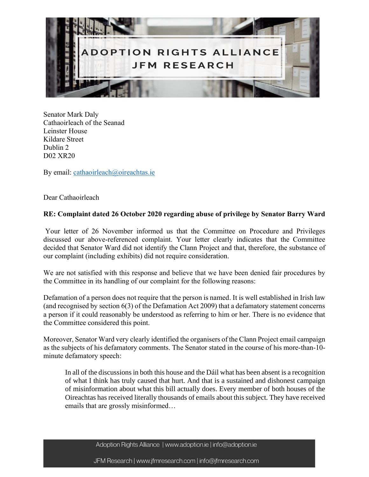

Senator Mark Daly Cathaoirleach of the Seanad Leinster House Kildare Street Dublin 2 D02 XR20

By email: [cathaoirleach@oireachtas.ie](mailto:cathaoirleach@oireachtas.ie)

Dear Cathaoirleach

## **RE: Complaint dated 26 October 2020 regarding abuse of privilege by Senator Barry Ward**

Your letter of 26 November informed us that the Committee on Procedure and Privileges discussed our above-referenced complaint. Your letter clearly indicates that the Committee decided that Senator Ward did not identify the Clann Project and that, therefore, the substance of our complaint (including exhibits) did not require consideration.

We are not satisfied with this response and believe that we have been denied fair procedures by the Committee in its handling of our complaint for the following reasons:

Defamation of a person does not require that the person is named. It is well established in Irish law (and recognised by section 6(3) of the Defamation Act 2009) that a defamatory statement concerns a person if it could reasonably be understood as referring to him or her. There is no evidence that the Committee considered this point.

Moreover, Senator Ward very clearly identified the organisers of the Clann Project email campaign as the subjects of his defamatory comments. The Senator stated in the course of his more-than-10 minute defamatory speech:

In all of the discussions in both this house and the Dáil what has been absent is a recognition of what I think has truly caused that hurt. And that is a sustained and dishonest campaign of misinformation about what this bill actually does. Every member of both houses of the Oireachtas has received literally thousands of emails about this subject. They have received emails that are grossly misinformed…

Adoption Rights Alliance | www.adoption.ie | info@adoption.ie

JFM Research | www.jfmresearch.com | info@jfmresearch.com